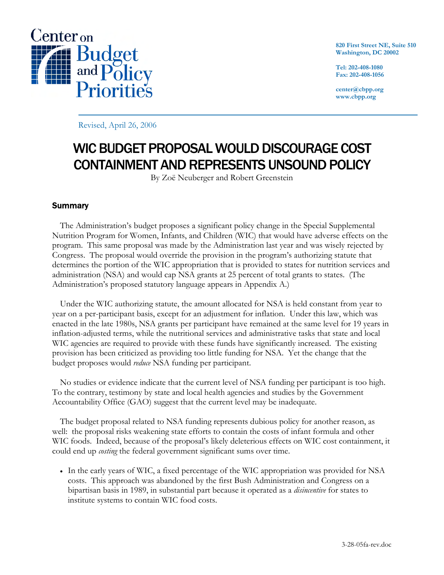

**820 First Street NE, Suite 510 Washington, DC 20002** 

**Tel: 202-408-1080 Fax: 202-408-1056** 

**center@cbpp.org www.cbpp.org** 

Revised, April 26, 2006

# WIC BUDGET PROPOSAL WOULD DISCOURAGE COST CONTAINMENT AND REPRESENTS UNSOUND POLICY

By Zoë Neuberger and Robert Greenstein

## **Summary**

 The Administration's budget proposes a significant policy change in the Special Supplemental Nutrition Program for Women, Infants, and Children (WIC) that would have adverse effects on the program. This same proposal was made by the Administration last year and was wisely rejected by Congress. The proposal would override the provision in the program's authorizing statute that determines the portion of the WIC appropriation that is provided to states for nutrition services and administration (NSA) and would cap NSA grants at 25 percent of total grants to states. (The Administration's proposed statutory language appears in Appendix A.)

Under the WIC authorizing statute, the amount allocated for NSA is held constant from year to year on a per-participant basis, except for an adjustment for inflation. Under this law, which was enacted in the late 1980s, NSA grants per participant have remained at the same level for 19 years in inflation-adjusted terms, while the nutritional services and administrative tasks that state and local WIC agencies are required to provide with these funds have significantly increased. The existing provision has been criticized as providing too little funding for NSA. Yet the change that the budget proposes would *reduce* NSA funding per participant.

No studies or evidence indicate that the current level of NSA funding per participant is too high. To the contrary, testimony by state and local health agencies and studies by the Government Accountability Office (GAO) suggest that the current level may be inadequate.

The budget proposal related to NSA funding represents dubious policy for another reason, as well: the proposal risks weakening state efforts to contain the costs of infant formula and other WIC foods. Indeed, because of the proposal's likely deleterious effects on WIC cost containment, it could end up *costing* the federal government significant sums over time.

• In the early years of WIC, a fixed percentage of the WIC appropriation was provided for NSA costs. This approach was abandoned by the first Bush Administration and Congress on a bipartisan basis in 1989, in substantial part because it operated as a *disincentive* for states to institute systems to contain WIC food costs.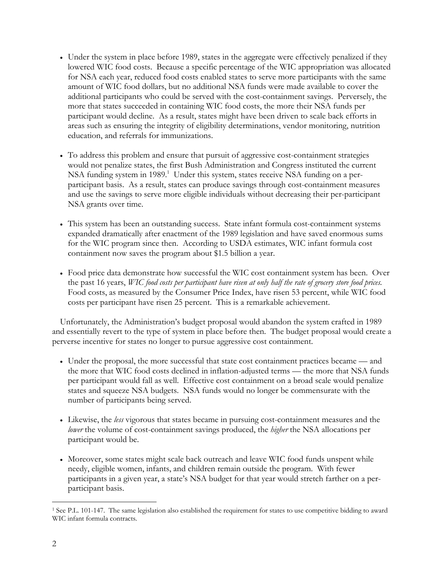- Under the system in place before 1989, states in the aggregate were effectively penalized if they lowered WIC food costs. Because a specific percentage of the WIC appropriation was allocated for NSA each year, reduced food costs enabled states to serve more participants with the same amount of WIC food dollars, but no additional NSA funds were made available to cover the additional participants who could be served with the cost-containment savings. Perversely, the more that states succeeded in containing WIC food costs, the more their NSA funds per participant would decline. As a result, states might have been driven to scale back efforts in areas such as ensuring the integrity of eligibility determinations, vendor monitoring, nutrition education, and referrals for immunizations.
- To address this problem and ensure that pursuit of aggressive cost-containment strategies would not penalize states, the first Bush Administration and Congress instituted the current NSA funding system in 1989.<sup>1</sup> Under this system, states receive NSA funding on a perparticipant basis. As a result, states can produce savings through cost-containment measures and use the savings to serve more eligible individuals without decreasing their per-participant NSA grants over time.
- This system has been an outstanding success. State infant formula cost-containment systems expanded dramatically after enactment of the 1989 legislation and have saved enormous sums for the WIC program since then. According to USDA estimates, WIC infant formula cost containment now saves the program about \$1.5 billion a year.
- Food price data demonstrate how successful the WIC cost containment system has been. Over the past 16 years, *WIC food costs per participant have risen at only half the rate of grocery store food prices.* Food costs, as measured by the Consumer Price Index, have risen 53 percent, while WIC food costs per participant have risen 25 percent. This is a remarkable achievement.

Unfortunately, the Administration's budget proposal would abandon the system crafted in 1989 and essentially revert to the type of system in place before then. The budget proposal would create a perverse incentive for states no longer to pursue aggressive cost containment.

- Under the proposal, the more successful that state cost containment practices became and the more that WIC food costs declined in inflation-adjusted terms — the more that NSA funds per participant would fall as well. Effective cost containment on a broad scale would penalize states and squeeze NSA budgets. NSA funds would no longer be commensurate with the number of participants being served.
- Likewise, the *less* vigorous that states became in pursuing cost-containment measures and the *lower* the volume of cost-containment savings produced, the *higher* the NSA allocations per participant would be.
- Moreover, some states might scale back outreach and leave WIC food funds unspent while needy, eligible women, infants, and children remain outside the program. With fewer participants in a given year, a state's NSA budget for that year would stretch farther on a perparticipant basis.

 $\overline{a}$ 1 See P.L. 101-147. The same legislation also established the requirement for states to use competitive bidding to award WIC infant formula contracts.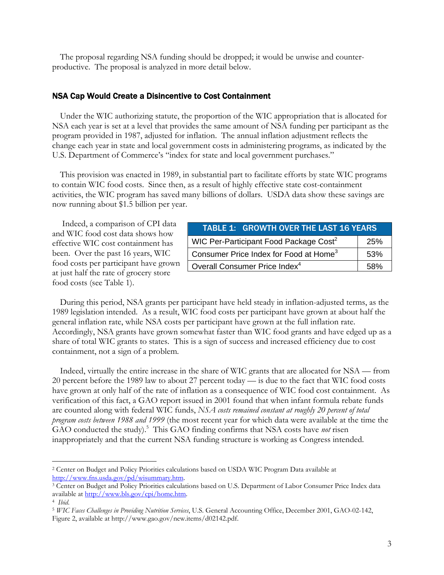The proposal regarding NSA funding should be dropped; it would be unwise and counterproductive. The proposal is analyzed in more detail below.

## NSA Cap Would Create a Disincentive to Cost Containment

Under the WIC authorizing statute, the proportion of the WIC appropriation that is allocated for NSA each year is set at a level that provides the same amount of NSA funding per participant as the program provided in 1987, adjusted for inflation. The annual inflation adjustment reflects the change each year in state and local government costs in administering programs, as indicated by the U.S. Department of Commerce's "index for state and local government purchases."

This provision was enacted in 1989, in substantial part to facilitate efforts by state WIC programs to contain WIC food costs. Since then, as a result of highly effective state cost-containment activities, the WIC program has saved many billions of dollars. USDA data show these savings are now running about \$1.5 billion per year.

 Indeed, a comparison of CPI data and WIC food cost data shows how effective WIC cost containment has been. Over the past 16 years, WIC food costs per participant have grown at just half the rate of grocery store food costs (see Table 1).

| <b>TABLE 1: GROWTH OVER THE LAST 16 YEARS</b>      |     |
|----------------------------------------------------|-----|
| WIC Per-Participant Food Package Cost <sup>2</sup> | 25% |
| Consumer Price Index for Food at Home <sup>3</sup> | 53% |
| Overall Consumer Price Index <sup>4</sup>          | 58% |

During this period, NSA grants per participant have held steady in inflation-adjusted terms, as the 1989 legislation intended. As a result, WIC food costs per participant have grown at about half the general inflation rate, while NSA costs per participant have grown at the full inflation rate. Accordingly, NSA grants have grown somewhat faster than WIC food grants and have edged up as a share of total WIC grants to states. This is a sign of success and increased efficiency due to cost containment, not a sign of a problem*.*

Indeed, virtually the entire increase in the share of WIC grants that are allocated for NSA — from 20 percent before the 1989 law to about 27 percent today — is due to the fact that WIC food costs have grown at only half of the rate of inflation as a consequence of WIC food cost containment. As verification of this fact, a GAO report issued in 2001 found that when infant formula rebate funds are counted along with federal WIC funds, *NSA costs remained constant at roughly 20 percent of total program costs between 1988 and 1999* (the most recent year for which data were available at the time the GAO conducted the study).<sup>5</sup> This GAO finding confirms that NSA costs have *not* risen inappropriately and that the current NSA funding structure is working as Congress intended.

 $\overline{a}$ 

<sup>2</sup> Center on Budget and Policy Priorities calculations based on USDA WIC Program Data available at http://www.fns.usda.gov/pd/wisummary.htm.<br><sup>3</sup> Center on Budget and Policy Priorities calculations based on U.S. Department of Labor Consumer Price Index data

available at <u>http://www.bls.gov/cpi/home.htm</u>.<br><sup>4</sup> *Ibid.*<br><sup>5</sup> *WIC Faces Challenges in Providing Nutrition Services*, U.S. General Accounting Office, December 2001, GAO-02-142,

Figure 2, available at http://www.gao.gov/new.items/d02142.pdf.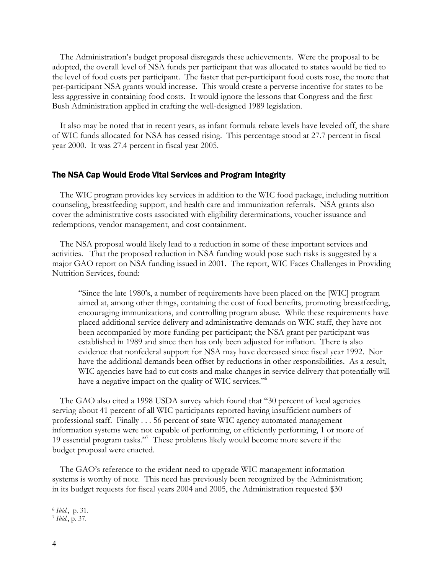The Administration's budget proposal disregards these achievements. Were the proposal to be adopted, the overall level of NSA funds per participant that was allocated to states would be tied to the level of food costs per participant. The faster that per-participant food costs rose, the more that per-participant NSA grants would increase. This would create a perverse incentive for states to be less aggressive in containing food costs. It would ignore the lessons that Congress and the first Bush Administration applied in crafting the well-designed 1989 legislation.

It also may be noted that in recent years, as infant formula rebate levels have leveled off, the share of WIC funds allocated for NSA has ceased rising. This percentage stood at 27.7 percent in fiscal year 2000. It was 27.4 percent in fiscal year 2005.

#### The NSA Cap Would Erode Vital Services and Program Integrity

 The WIC program provides key services in addition to the WIC food package, including nutrition counseling, breastfeeding support, and health care and immunization referrals. NSA grants also cover the administrative costs associated with eligibility determinations, voucher issuance and redemptions, vendor management, and cost containment.

 The NSA proposal would likely lead to a reduction in some of these important services and activities. That the proposed reduction in NSA funding would pose such risks is suggested by a major GAO report on NSA funding issued in 2001. The report, WIC Faces Challenges in Providing Nutrition Services, found:

"Since the late 1980's, a number of requirements have been placed on the [WIC] program aimed at, among other things, containing the cost of food benefits, promoting breastfeeding, encouraging immunizations, and controlling program abuse. While these requirements have placed additional service delivery and administrative demands on WIC staff, they have not been accompanied by more funding per participant; the NSA grant per participant was established in 1989 and since then has only been adjusted for inflation. There is also evidence that nonfederal support for NSA may have decreased since fiscal year 1992. Nor have the additional demands been offset by reductions in other responsibilities. As a result, WIC agencies have had to cut costs and make changes in service delivery that potentially will have a negative impact on the quality of WIC services."<sup>6</sup>

The GAO also cited a 1998 USDA survey which found that "30 percent of local agencies serving about 41 percent of all WIC participants reported having insufficient numbers of professional staff. Finally . . . 56 percent of state WIC agency automated management information systems were not capable of performing, or efficiently performing, 1 or more of 19 essential program tasks."7 These problems likely would become more severe if the budget proposal were enacted.

The GAO's reference to the evident need to upgrade WIC management information systems is worthy of note. This need has previously been recognized by the Administration; in its budget requests for fiscal years 2004 and 2005, the Administration requested \$30

 $\overline{a}$ 

<sup>6</sup> *Ibid*., p. 31. 7 *Ibid*., p. 37.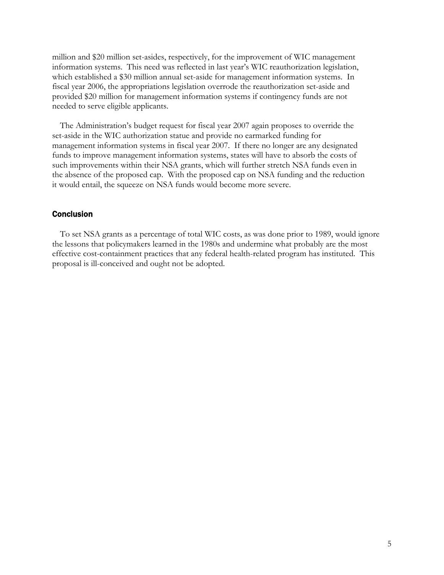million and \$20 million set-asides, respectively, for the improvement of WIC management information systems. This need was reflected in last year's WIC reauthorization legislation, which established a \$30 million annual set-aside for management information systems. In fiscal year 2006, the appropriations legislation overrode the reauthorization set-aside and provided \$20 million for management information systems if contingency funds are not needed to serve eligible applicants.

The Administration's budget request for fiscal year 2007 again proposes to override the set-aside in the WIC authorization statue and provide no earmarked funding for management information systems in fiscal year 2007. If there no longer are any designated funds to improve management information systems, states will have to absorb the costs of such improvements within their NSA grants, which will further stretch NSA funds even in the absence of the proposed cap. With the proposed cap on NSA funding and the reduction it would entail, the squeeze on NSA funds would become more severe.

### Conclusion

To set NSA grants as a percentage of total WIC costs, as was done prior to 1989, would ignore the lessons that policymakers learned in the 1980s and undermine what probably are the most effective cost-containment practices that any federal health-related program has instituted. This proposal is ill-conceived and ought not be adopted.